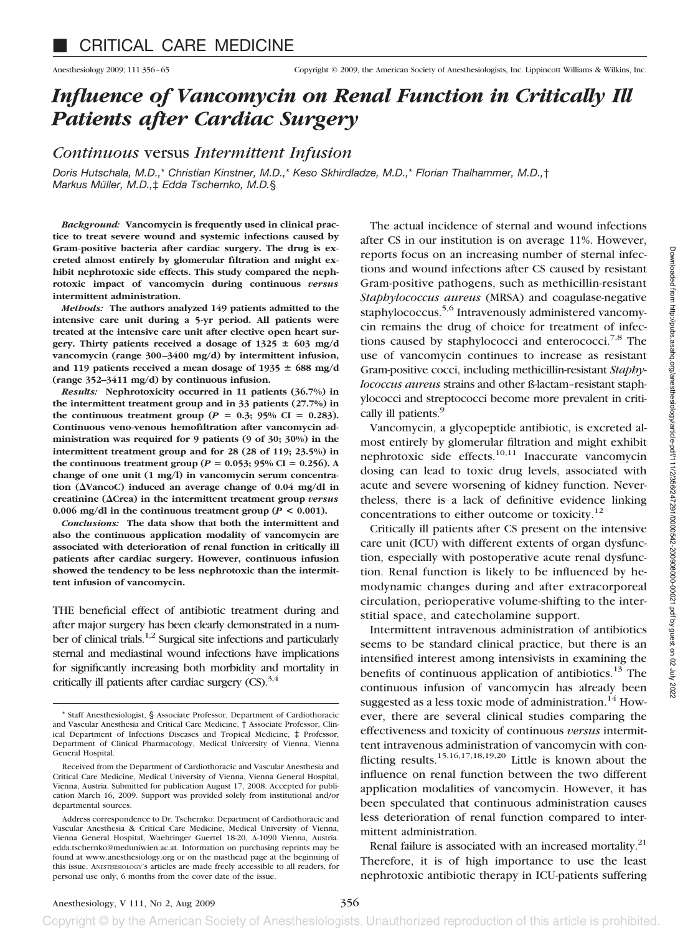# *Influence of Vancomycin on Renal Function in Critically Ill Patients after Cardiac Surgery*

## *Continuous* versus *Intermittent Infusion*

*Doris Hutschala, M.D.,*\* *Christian Kinstner, M.D.,*\* *Keso Skhirdladze, M.D.,*\* *Florian Thalhammer, M.D.,*† *Markus Mu¨ ller, M.D.,*‡ *Edda Tschernko, M.D.*§

*Background:* **Vancomycin is frequently used in clinical practice to treat severe wound and systemic infections caused by Gram-positive bacteria after cardiac surgery. The drug is excreted almost entirely by glomerular filtration and might exhibit nephrotoxic side effects. This study compared the nephrotoxic impact of vancomycin during continuous** *versus* **intermittent administration.**

*Methods:* **The authors analyzed 149 patients admitted to the intensive care unit during a 5-yr period. All patients were treated at the intensive care unit after elective open heart surgery.** Thirty patients received a dosage of  $1325 \pm 603$  mg/d **vancomycin (range 300 –3400 mg/d) by intermittent infusion,** and 119 patients received a mean dosage of  $1935 \pm 688$  mg/d **(range 352–3411 mg/d) by continuous infusion.**

*Results:* **Nephrotoxicity occurred in 11 patients (36.7%) in the intermittent treatment group and in 33 patients (27.7%) in** the continuous treatment group ( $P = 0.3$ ; 95% CI = 0.283). **Continuous veno-venous hemofiltration after vancomycin administration was required for 9 patients (9 of 30; 30%) in the intermittent treatment group and for 28 (28 of 119; 23.5%) in** the continuous treatment group ( $P = 0.053$ ; 95% CI = 0.256). A **change of one unit (1 mg/l) in vancomycin serum concentration (VancoC) induced an average change of 0.04 mg/dl in creatinine (Crea) in the intermittent treatment group** *versus* 0.006 mg/dl in the continuous treatment group  $(P < 0.001)$ .

*Conclusions:* **The data show that both the intermittent and also the continuous application modality of vancomycin are associated with deterioration of renal function in critically ill patients after cardiac surgery. However, continuous infusion showed the tendency to be less nephrotoxic than the intermittent infusion of vancomycin.**

THE beneficial effect of antibiotic treatment during and after major surgery has been clearly demonstrated in a number of clinical trials.<sup>1,2</sup> Surgical site infections and particularly sternal and mediastinal wound infections have implications for significantly increasing both morbidity and mortality in critically ill patients after cardiac surgery  $(CS)^{3,4}$ .

The actual incidence of sternal and wound infections after CS in our institution is on average 11%. However, reports focus on an increasing number of sternal infections and wound infections after CS caused by resistant Gram-positive pathogens, such as methicillin-resistant *Staphylococcus aureus* (MRSA) and coagulase-negative staphylococcus.<sup>5,6</sup> Intravenously administered vancomycin remains the drug of choice for treatment of infections caused by staphylococci and enterococci.<sup>7,8</sup> The use of vancomycin continues to increase as resistant Gram-positive cocci, including methicillin-resistant *Staphylococcus aureus* strains and other ß-lactam–resistant staphylococci and streptococci become more prevalent in critically ill patients.<sup>9</sup>

Vancomycin, a glycopeptide antibiotic, is excreted almost entirely by glomerular filtration and might exhibit nephrotoxic side effects.10,11 Inaccurate vancomycin dosing can lead to toxic drug levels, associated with acute and severe worsening of kidney function. Nevertheless, there is a lack of definitive evidence linking concentrations to either outcome or toxicity.12

Critically ill patients after CS present on the intensive care unit (ICU) with different extents of organ dysfunction, especially with postoperative acute renal dysfunction. Renal function is likely to be influenced by hemodynamic changes during and after extracorporeal circulation, perioperative volume-shifting to the interstitial space, and catecholamine support.

Intermittent intravenous administration of antibiotics seems to be standard clinical practice, but there is an intensified interest among intensivists in examining the benefits of continuous application of antibiotics.<sup>13</sup> The continuous infusion of vancomycin has already been suggested as a less toxic mode of administration.<sup>14</sup> However, there are several clinical studies comparing the effectiveness and toxicity of continuous *versus* intermittent intravenous administration of vancomycin with conflicting results.<sup>15,16,17,18,19,20</sup> Little is known about the influence on renal function between the two different application modalities of vancomycin. However, it has been speculated that continuous administration causes less deterioration of renal function compared to intermittent administration.

Renal failure is associated with an increased mortality. $21$ Therefore, it is of high importance to use the least nephrotoxic antibiotic therapy in ICU-patients suffering

<sup>\*</sup> Staff Anesthesiologist, § Associate Professor, Department of Cardiothoracic and Vascular Anesthesia and Critical Care Medicine, † Associate Professor, Clinical Department of Infections Diseases and Tropical Medicine, ‡ Professor, Department of Clinical Pharmacology, Medical University of Vienna, Vienna General Hospital.

Received from the Department of Cardiothoracic and Vascular Anesthesia and Critical Care Medicine, Medical University of Vienna, Vienna General Hospital, Vienna, Austria. Submitted for publication August 17, 2008. Accepted for publication March 16, 2009. Support was provided solely from institutional and/or departmental sources.

Address correspondence to Dr. Tschernko: Department of Cardiothoracic and Vascular Anesthesia & Critical Care Medicine, Medical University of Vienna, Vienna General Hospital, Waehringer Guertel 18-20, A-1090 Vienna, Austria. edda.tschernko@meduniwien.ac.at. Information on purchasing reprints may be found at www.anesthesiology.org or on the masthead page at the beginning of this issue. ANESTHESIOLOGY's articles are made freely accessible to all readers, for personal use only, 6 months from the cover date of the issue.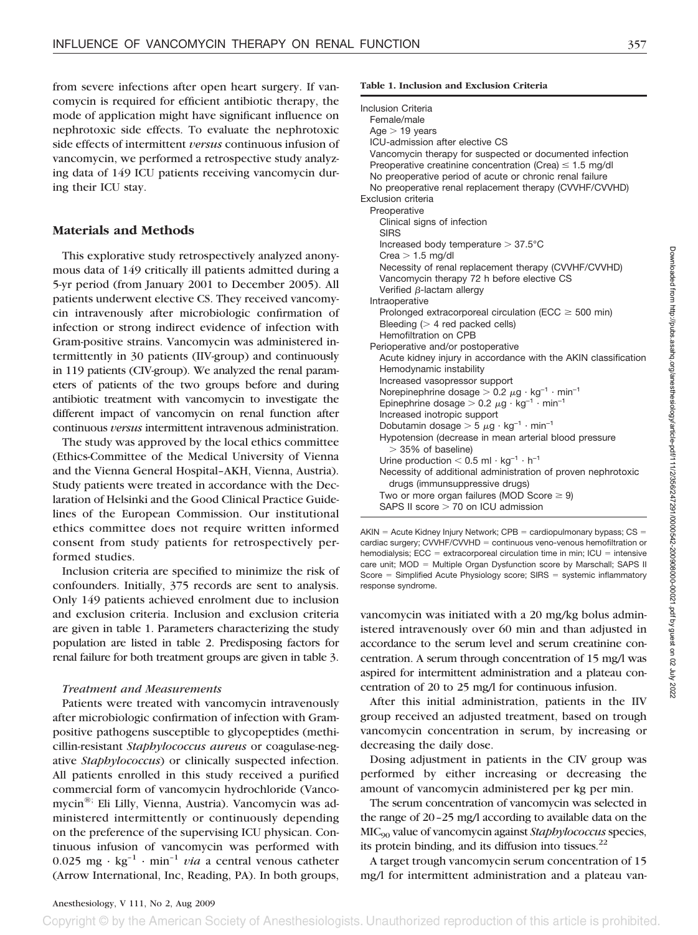from severe infections after open heart surgery. If vancomycin is required for efficient antibiotic therapy, the mode of application might have significant influence on nephrotoxic side effects. To evaluate the nephrotoxic side effects of intermittent *versus* continuous infusion of vancomycin, we performed a retrospective study analyzing data of 149 ICU patients receiving vancomycin during their ICU stay.

## **Materials and Methods**

This explorative study retrospectively analyzed anonymous data of 149 critically ill patients admitted during a 5-yr period (from January 2001 to December 2005). All patients underwent elective CS. They received vancomycin intravenously after microbiologic confirmation of infection or strong indirect evidence of infection with Gram-positive strains. Vancomycin was administered intermittently in 30 patients (IIV-group) and continuously in 119 patients (CIV-group). We analyzed the renal parameters of patients of the two groups before and during antibiotic treatment with vancomycin to investigate the different impact of vancomycin on renal function after continuous *versus* intermittent intravenous administration.

The study was approved by the local ethics committee (Ethics-Committee of the Medical University of Vienna and the Vienna General Hospital–AKH, Vienna, Austria). Study patients were treated in accordance with the Declaration of Helsinki and the Good Clinical Practice Guidelines of the European Commission. Our institutional ethics committee does not require written informed consent from study patients for retrospectively performed studies.

Inclusion criteria are specified to minimize the risk of confounders. Initially, 375 records are sent to analysis. Only 149 patients achieved enrolment due to inclusion and exclusion criteria. Inclusion and exclusion criteria are given in table 1. Parameters characterizing the study population are listed in table 2. Predisposing factors for renal failure for both treatment groups are given in table 3.

### *Treatment and Measurements*

Patients were treated with vancomycin intravenously after microbiologic confirmation of infection with Grampositive pathogens susceptible to glycopeptides (methicillin-resistant *Staphylococcus aureus* or coagulase-negative *Staphylococcus*) or clinically suspected infection. All patients enrolled in this study received a purified commercial form of vancomycin hydrochloride (Vancomycin®; Eli Lilly, Vienna, Austria). Vancomycin was administered intermittently or continuously depending on the preference of the supervising ICU physican. Continuous infusion of vancomycin was performed with 0.025 mg  $\cdot$  kg<sup>-1</sup>  $\cdot$  min<sup>-1</sup> *via* a central venous catheter (Arrow International, Inc, Reading, PA). In both groups,

#### **Table 1. Inclusion and Exclusion Criteria**

| Inclusion Criteria                                                                              |
|-------------------------------------------------------------------------------------------------|
| Female/male                                                                                     |
| $Age > 19$ years                                                                                |
| ICU-admission after elective CS                                                                 |
| Vancomycin therapy for suspected or documented infection                                        |
| Preoperative creatinine concentration (Crea) $\leq 1.5$ mg/dl                                   |
| No preoperative period of acute or chronic renal failure                                        |
| No preoperative renal replacement therapy (CVVHF/CVVHD)                                         |
| Exclusion criteria                                                                              |
| Preoperative                                                                                    |
| Clinical signs of infection                                                                     |
| <b>SIRS</b>                                                                                     |
| Increased body temperature > 37.5°C                                                             |
| Crea > 1.5 mg/dl                                                                                |
| Necessity of renal replacement therapy (CVVHF/CVVHD)                                            |
| Vancomycin therapy 72 h before elective CS                                                      |
| Verified $\beta$ -lactam allergy                                                                |
| Intraoperative                                                                                  |
| Prolonged extracorporeal circulation (ECC $\geq$ 500 min)<br>Bleeding ( $>$ 4 red packed cells) |
| Hemofiltration on CPB                                                                           |
| Perioperative and/or postoperative                                                              |
| Acute kidney injury in accordance with the AKIN classification                                  |
| Hemodynamic instability                                                                         |
| Increased vasopressor support                                                                   |
| Norepinephrine dosage $> 0.2 \mu g \cdot kg^{-1} \cdot min^{-1}$                                |
| Epinephrine dosage $> 0.2 \mu g \cdot kg^{-1} \cdot min^{-1}$                                   |
| Increased inotropic support                                                                     |
| Dobutamin dosage $>$ 5 $\mu$ g · kg <sup>-1</sup> · min <sup>-1</sup>                           |
| Hypotension (decrease in mean arterial blood pressure                                           |
| $>$ 35% of baseline)                                                                            |
| Urine production $< 0.5$ ml $\cdot$ kg <sup>-1</sup> $\cdot$ h <sup>-1</sup>                    |
| Necessity of additional administration of proven nephrotoxic                                    |
| drugs (immunsuppressive drugs)                                                                  |
| Two or more organ failures (MOD Score $\geq 9$ )                                                |
| SAPS II score $>$ 70 on ICU admission                                                           |

 $AKIN = Acute Kidney Injury Network; CPB = cardiopulmonary bypass; CS =$ cardiac surgery; CVVHF/CVVHD = continuous veno-venous hemofiltration or hemodialysis;  $ECC =$  extracorporeal circulation time in min;  $ICU =$  intensive care unit; MOD = Multiple Organ Dysfunction score by Marschall; SAPS II Score  $=$  Simplified Acute Physiology score; SIRS  $=$  systemic inflammatory response syndrome.

vancomycin was initiated with a 20 mg/kg bolus administered intravenously over 60 min and than adjusted in accordance to the serum level and serum creatinine concentration. A serum through concentration of 15 mg/l was aspired for intermittent administration and a plateau concentration of 20 to 25 mg/l for continuous infusion.

After this initial administration, patients in the IIV group received an adjusted treatment, based on trough vancomycin concentration in serum, by increasing or decreasing the daily dose.

Dosing adjustment in patients in the CIV group was performed by either increasing or decreasing the amount of vancomycin administered per kg per min.

The serum concentration of vancomycin was selected in the range of 20–25 mg/l according to available data on the MIC90 value of vancomycin against *Staphylococcus*species, its protein binding, and its diffusion into tissues.<sup>22</sup>

A target trough vancomycin serum concentration of 15 mg/l for intermittent administration and a plateau van-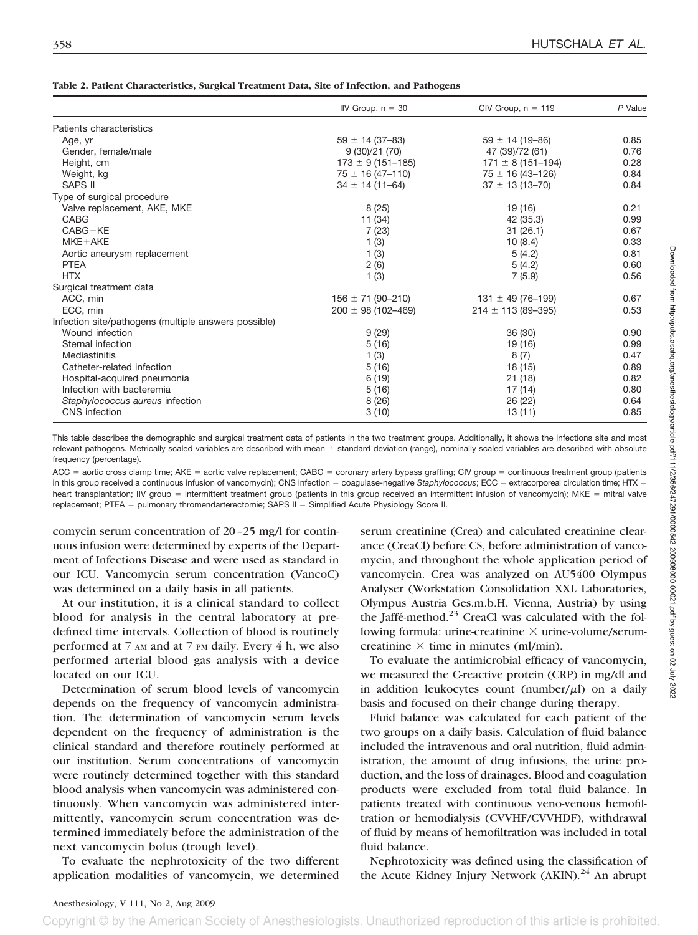|                                                      | IIV Group, $n = 30$     | CIV Group, $n = 119$    | P Value |
|------------------------------------------------------|-------------------------|-------------------------|---------|
| Patients characteristics                             |                         |                         |         |
| Age, yr                                              | $59 \pm 14 (37 - 83)$   | $59 \pm 14(19 - 86)$    | 0.85    |
| Gender, female/male                                  | 9(30)/21(70)            | 47 (39)/72 (61)         | 0.76    |
| Height, cm                                           | $173 \pm 9(151 - 185)$  | $171 \pm 8(151 - 194)$  | 0.28    |
| Weight, kg                                           | $75 \pm 16(47 - 110)$   | $75 \pm 16(43 - 126)$   | 0.84    |
| <b>SAPS II</b>                                       | $34 \pm 14(11 - 64)$    | $37 \pm 13(13 - 70)$    | 0.84    |
| Type of surgical procedure                           |                         |                         |         |
| Valve replacement, AKE, MKE                          | 8(25)                   | 19 (16)                 | 0.21    |
| CABG                                                 | 11 (34)                 | 42 (35.3)               | 0.99    |
| $CABG+KE$                                            | 7(23)                   | 31(26.1)                | 0.67    |
| $MKE+AKE$                                            | 1(3)                    | 10(8.4)                 | 0.33    |
| Aortic aneurysm replacement                          | 1(3)                    | 5(4.2)                  | 0.81    |
| <b>PTEA</b>                                          | 2(6)                    | 5(4.2)                  | 0.60    |
| <b>HTX</b>                                           | 1(3)                    | 7(5.9)                  | 0.56    |
| Surgical treatment data                              |                         |                         |         |
| ACC, min                                             | $156 \pm 71 (90 - 210)$ | $131 \pm 49 (76 - 199)$ | 0.67    |
| ECC, min                                             | $200 \pm 98(102 - 469)$ | $214 \pm 113(89 - 395)$ | 0.53    |
| Infection site/pathogens (multiple answers possible) |                         |                         |         |
| Wound infection                                      | 9(29)                   | 36(30)                  | 0.90    |
| Sternal infection                                    | 5(16)                   | 19 (16)                 | 0.99    |
| Mediastinitis                                        | 1(3)                    | 8(7)                    | 0.47    |
| Catheter-related infection                           | 5(16)                   | 18(15)                  | 0.89    |
| Hospital-acquired pneumonia                          | 6(19)                   | 21(18)                  | 0.82    |
| Infection with bacteremia                            | 5(16)                   | 17 (14)                 | 0.80    |
| Staphylococcus aureus infection                      | 8(26)                   | 26 (22)                 | 0.64    |
| CNS infection                                        | 3(10)                   | 13(11)                  | 0.85    |

This table describes the demographic and surgical treatment data of patients in the two treatment groups. Additionally, it shows the infections site and most relevant pathogens. Metrically scaled variables are described with mean  $\pm$  standard deviation (range), nominally scaled variables are described with absolute frequency (percentage).

ACC = aortic cross clamp time; AKE = aortic valve replacement; CABG = coronary artery bypass grafting; CIV group = continuous treatment group (patients in this group received a continuous infusion of vancomycin); CNS infection = coagulase-negative *Staphylococcus*; ECC = extracorporeal circulation time; HTX = heart transplantation; IIV group = intermittent treatment group (patients in this group received an intermittent infusion of vancomycin); MKE = mitral valve replacement; PTEA = pulmonary thromendarterectomie; SAPS II = Simplified Acute Physiology Score II.

comycin serum concentration of 20–25 mg/l for continuous infusion were determined by experts of the Department of Infections Disease and were used as standard in our ICU. Vancomycin serum concentration (VancoC) was determined on a daily basis in all patients.

At our institution, it is a clinical standard to collect blood for analysis in the central laboratory at predefined time intervals. Collection of blood is routinely performed at 7 AM and at 7 PM daily. Every 4 h, we also performed arterial blood gas analysis with a device located on our ICU.

Determination of serum blood levels of vancomycin depends on the frequency of vancomycin administration. The determination of vancomycin serum levels dependent on the frequency of administration is the clinical standard and therefore routinely performed at our institution. Serum concentrations of vancomycin were routinely determined together with this standard blood analysis when vancomycin was administered continuously. When vancomycin was administered intermittently, vancomycin serum concentration was determined immediately before the administration of the next vancomycin bolus (trough level).

To evaluate the nephrotoxicity of the two different application modalities of vancomycin, we determined

serum creatinine (Crea) and calculated creatinine clearance (CreaCl) before CS, before administration of vancomycin, and throughout the whole application period of vancomycin. Crea was analyzed on AU5400 Olympus Analyser (Workstation Consolidation XXL Laboratories, Olympus Austria Ges.m.b.H, Vienna, Austria) by using the Jaffe-method. $^{23}$  CreaCl was calculated with the following formula: urine-creatinine  $\times$  urine-volume/serumcreatinine  $\times$  time in minutes (ml/min).

To evaluate the antimicrobial efficacy of vancomycin, we measured the C-reactive protein (CRP) in mg/dl and in addition leukocytes count (number/ $\mu$ I) on a daily basis and focused on their change during therapy.

Fluid balance was calculated for each patient of the two groups on a daily basis. Calculation of fluid balance included the intravenous and oral nutrition, fluid administration, the amount of drug infusions, the urine production, and the loss of drainages. Blood and coagulation products were excluded from total fluid balance. In patients treated with continuous veno-venous hemofiltration or hemodialysis (CVVHF/CVVHDF), withdrawal of fluid by means of hemofiltration was included in total fluid balance.

Nephrotoxicity was defined using the classification of the Acute Kidney Injury Network (AKIN).<sup>24</sup> An abrupt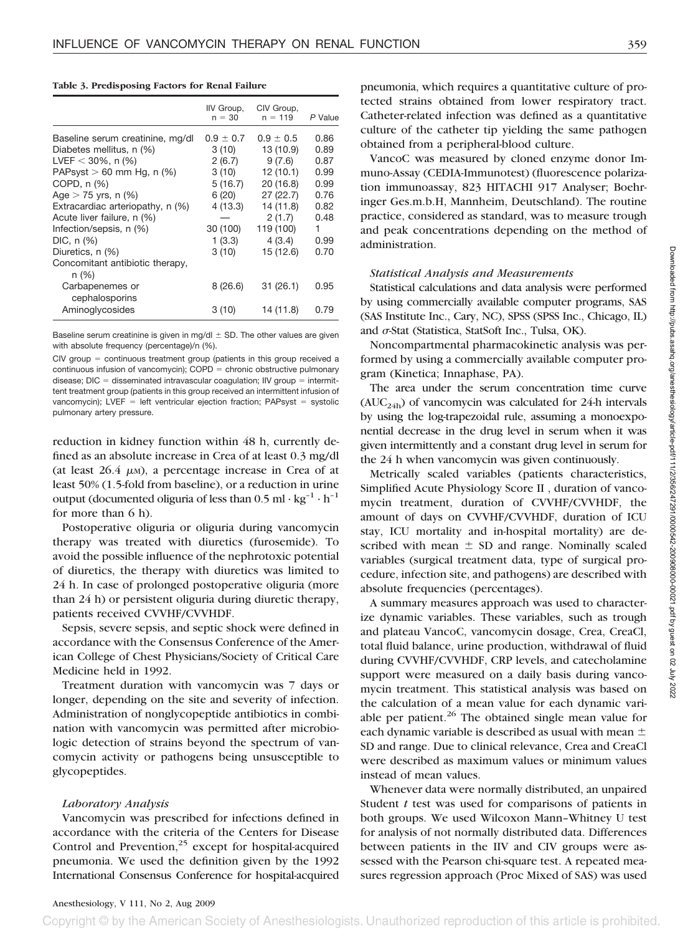**Table 3. Predisposing Factors for Renal Failure**

|                                  | IIV Group,<br>$n = 30$ | CIV Group,<br>$n = 119$ | P Value |
|----------------------------------|------------------------|-------------------------|---------|
| Baseline serum creatinine, mg/dl | $0.9 \pm 0.7$          | $0.9 \pm 0.5$           | 0.86    |
| Diabetes mellitus, n (%)         | 3(10)                  | 13 (10.9)               | 0.89    |
| LVEF $<$ 30%, n (%)              | 2(6.7)                 | 9(7.6)                  | 0.87    |
| PAPsyst $> 60$ mm Hg, n $(\%)$   | 3(10)                  | 12(10.1)                | 0.99    |
| COPD, n (%)                      | 5(16.7)                | 20 (16.8)               | 0.99    |
| Age $>$ 75 yrs, n (%)            | 6(20)                  | 27(22.7)                | 0.76    |
| Extracardiac arteriopathy, n (%) | 4(13.3)                | 14 (11.8)               | 0.82    |
| Acute liver failure, n (%)       |                        | 2(1.7)                  | 0.48    |
| Infection/sepsis, n (%)          | 30 (100)               | 119 (100)               | 1       |
| DIC, $n$ $(\%)$                  | 1(3.3)                 | 4(3.4)                  | 0.99    |
| Diuretics, n (%)                 | 3(10)                  | 15 (12.6)               | 0.70    |
| Concomitant antibiotic therapy,  |                        |                         |         |
| n(%)                             |                        |                         |         |
| Carbapenemes or                  | 8(26.6)                | 31(26.1)                | 0.95    |
| cephalosporins                   |                        |                         |         |
| Aminoglycosides                  | 3(10)                  | 14 (11.8)               | 0.79    |

Baseline serum creatinine is given in mg/dl  $\pm$  SD. The other values are given with absolute frequency (percentage)/n (%).

 $CIV$  group = continuous treatment group (patients in this group received a continuous infusion of vancomycin); COPD = chronic obstructive pulmonary disease;  $DIC = disseminated$  intravascular coagulation; IIV group  $=$  intermittent treatment group (patients in this group received an intermittent infusion of vancomycin); LVEF = left ventricular ejection fraction; PAPsyst = systolic pulmonary artery pressure.

reduction in kidney function within 48 h, currently defined as an absolute increase in Crea of at least 0.3 mg/dl (at least  $26.4 \mu$ M), a percentage increase in Crea of at least 50% (1.5-fold from baseline), or a reduction in urine output (documented oliguria of less than  $0.5$  ml  $\cdot$  kg<sup>-1</sup>  $\cdot$  h<sup>-1</sup> for more than 6 h).

Postoperative oliguria or oliguria during vancomycin therapy was treated with diuretics (furosemide). To avoid the possible influence of the nephrotoxic potential of diuretics, the therapy with diuretics was limited to 24 h. In case of prolonged postoperative oliguria (more than 24 h) or persistent oliguria during diuretic therapy, patients received CVVHF/CVVHDF.

Sepsis, severe sepsis, and septic shock were defined in accordance with the Consensus Conference of the American College of Chest Physicians/Society of Critical Care Medicine held in 1992.

Treatment duration with vancomycin was 7 days or longer, depending on the site and severity of infection. Administration of nonglycopeptide antibiotics in combination with vancomycin was permitted after microbiologic detection of strains beyond the spectrum of vancomycin activity or pathogens being unsusceptible to glycopeptides.

#### *Laboratory Analysis*

Vancomycin was prescribed for infections defined in accordance with the criteria of the Centers for Disease Control and Prevention, $25$  except for hospital-acquired pneumonia. We used the definition given by the 1992 International Consensus Conference for hospital-acquired

pneumonia, which requires a quantitative culture of protected strains obtained from lower respiratory tract. Catheter-related infection was defined as a quantitative culture of the catheter tip yielding the same pathogen obtained from a peripheral-blood culture.

VancoC was measured by cloned enzyme donor Immuno-Assay (CEDIA-Immunotest) (fluorescence polarization immunoassay, 823 HITACHI 917 Analyser; Boehringer Ges.m.b.H, Mannheim, Deutschland). The routine practice, considered as standard, was to measure trough and peak concentrations depending on the method of administration.

#### *Statistical Analysis and Measurements*

Statistical calculations and data analysis were performed by using commercially available computer programs, SAS (SAS Institute Inc., Cary, NC), SPSS (SPSS Inc., Chicago, IL) and  $\sigma$ -Stat (Statistica, StatSoft Inc., Tulsa, OK).

Noncompartmental pharmacokinetic analysis was performed by using a commercially available computer program (Kinetica; Innaphase, PA).

The area under the serum concentration time curve  $(AUC<sub>24h</sub>)$  of vancomycin was calculated for 24-h intervals by using the log-trapezoidal rule, assuming a monoexponential decrease in the drug level in serum when it was given intermittently and a constant drug level in serum for the 24 h when vancomycin was given continuously.

Metrically scaled variables (patients characteristics, Simplified Acute Physiology Score II , duration of vancomycin treatment, duration of CVVHF/CVVHDF, the amount of days on CVVHF/CVVHDF, duration of ICU stay, ICU mortality and in-hospital mortality) are described with mean  $\pm$  SD and range. Nominally scaled variables (surgical treatment data, type of surgical procedure, infection site, and pathogens) are described with absolute frequencies (percentages).

A summary measures approach was used to characterize dynamic variables. These variables, such as trough and plateau VancoC, vancomycin dosage, Crea, CreaCl, total fluid balance, urine production, withdrawal of fluid during CVVHF/CVVHDF, CRP levels, and catecholamine support were measured on a daily basis during vancomycin treatment. This statistical analysis was based on the calculation of a mean value for each dynamic variable per patient.<sup>26</sup> The obtained single mean value for each dynamic variable is described as usual with mean  $\pm$ SD and range. Due to clinical relevance, Crea and CreaCl were described as maximum values or minimum values instead of mean values.

Whenever data were normally distributed, an unpaired Student *t* test was used for comparisons of patients in both groups. We used Wilcoxon Mann–Whitney U test for analysis of not normally distributed data. Differences between patients in the IIV and CIV groups were assessed with the Pearson chi-square test. A repeated measures regression approach (Proc Mixed of SAS) was used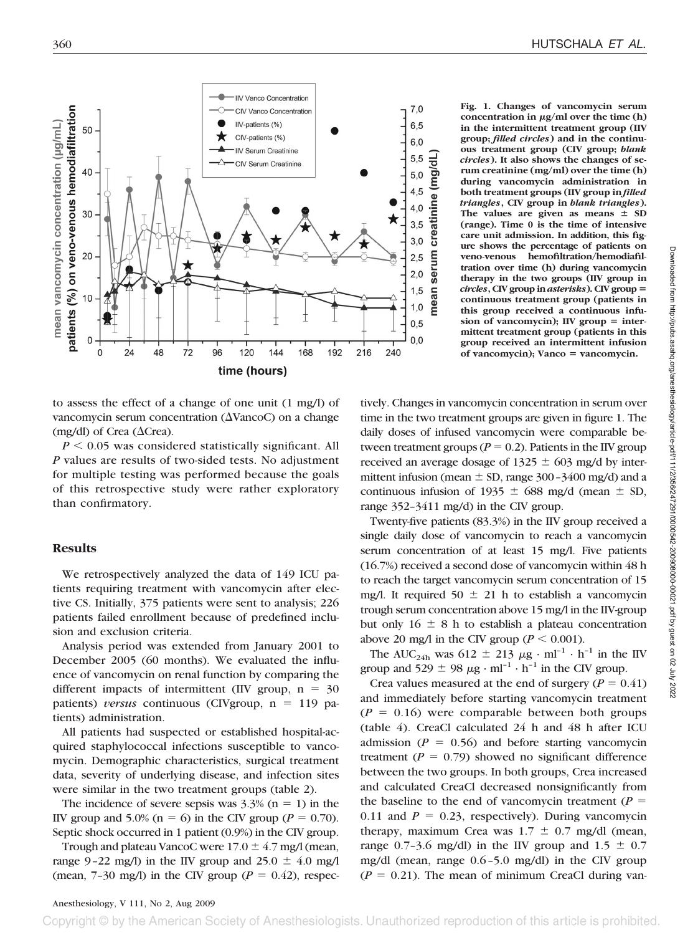

**Fig. 1. Changes of vancomycin serum** concentration in  $\mu$ g/ml over the time (h) **in the intermittent treatment group (IIV group;** *filled circles***) and in the continuous treatment group (CIV group;** *blank circles***). It also shows the changes of serum creatinine (mg/ml) over the time (h) during vancomycin administration in both treatment groups (IIV group in** *filled triangles***, CIV group in** *blank triangles***). The values are given as means SD (range). Time 0 is the time of intensive care unit admission. In addition, this figure shows the percentage of patients on veno-venous hemofiltration/hemodiafiltration over time (h) during vancomycin therapy in the two groups (IIV group in** *circles***, CIV group in** *asterisks***). CIV group continuous treatment group (patients in this group received a continuous infu**sion of vancomycin); IIV group = inter**mittent treatment group (patients in this group received an intermittent infusion** of vancomycin); Vanco = vancomycin.

to assess the effect of a change of one unit (1 mg/l) of vancomycin serum concentration  $(\Delta$ VancoC) on a change (mg/dl) of Crea ( $\Delta$ Crea).

 $P < 0.05$  was considered statistically significant. All *P* values are results of two-sided tests. No adjustment for multiple testing was performed because the goals of this retrospective study were rather exploratory than confirmatory.

## **Results**

We retrospectively analyzed the data of 149 ICU patients requiring treatment with vancomycin after elective CS. Initially, 375 patients were sent to analysis; 226 patients failed enrollment because of predefined inclusion and exclusion criteria.

Analysis period was extended from January 2001 to December 2005 (60 months). We evaluated the influence of vancomycin on renal function by comparing the different impacts of intermittent (IIV group,  $n = 30$ patients) *versus* continuous (CIVgroup,  $n = 119$  patients) administration.

All patients had suspected or established hospital-acquired staphylococcal infections susceptible to vancomycin. Demographic characteristics, surgical treatment data, severity of underlying disease, and infection sites were similar in the two treatment groups (table 2).

The incidence of severe sepsis was  $3.3\%$  (n = 1) in the IIV group and 5.0% ( $n = 6$ ) in the CIV group ( $P = 0.70$ ). Septic shock occurred in 1 patient (0.9%) in the CIV group.

Trough and plateau VancoC were  $17.0 \pm 4.7$  mg/l (mean, range 9–22 mg/l) in the IIV group and 25.0  $\pm$  4.0 mg/l (mean, 7-30 mg/l) in the CIV group ( $P = 0.42$ ), respectively. Changes in vancomycin concentration in serum over time in the two treatment groups are given in figure 1. The daily doses of infused vancomycin were comparable between treatment groups ( $P = 0.2$ ). Patients in the IIV group received an average dosage of  $1325 \pm 603$  mg/d by intermittent infusion (mean  $\pm$  SD, range 300–3400 mg/d) and a continuous infusion of 1935  $\pm$  688 mg/d (mean  $\pm$  SD, range 352–3411 mg/d) in the CIV group.

Twenty-five patients (83.3%) in the IIV group received a single daily dose of vancomycin to reach a vancomycin serum concentration of at least 15 mg/l. Five patients (16.7%) received a second dose of vancomycin within 48 h to reach the target vancomycin serum concentration of 15 mg/l. It required  $50 \pm 21$  h to establish a vancomycin trough serum concentration above 15 mg/l in the IIV-group but only  $16 \pm 8$  h to establish a plateau concentration above 20 mg/l in the CIV group ( $P < 0.001$ ).

The AUC<sub>24h</sub> was 612  $\pm$  213  $\mu$ g · ml<sup>-1</sup> · h<sup>-1</sup> in the IIV group and 529  $\pm$  98  $\mu$ g · ml<sup>-1</sup> · h<sup>-1</sup> in the CIV group.

Crea values measured at the end of surgery  $(P = 0.41)$ and immediately before starting vancomycin treatment  $(P = 0.16)$  were comparable between both groups (table 4). CreaCl calculated 24 h and 48 h after ICU admission  $(P = 0.56)$  and before starting vancomycin treatment  $(P = 0.79)$  showed no significant difference between the two groups. In both groups, Crea increased and calculated CreaCl decreased nonsignificantly from the baseline to the end of vancomycin treatment ( $P =$ 0.11 and  $P = 0.23$ , respectively). During vancomycin therapy, maximum Crea was  $1.7 \pm 0.7$  mg/dl (mean, range 0.7–3.6 mg/dl) in the IIV group and  $1.5 \pm 0.7$ mg/dl (mean, range 0.6–5.0 mg/dl) in the CIV group  $(P = 0.21)$ . The mean of minimum CreaCl during van-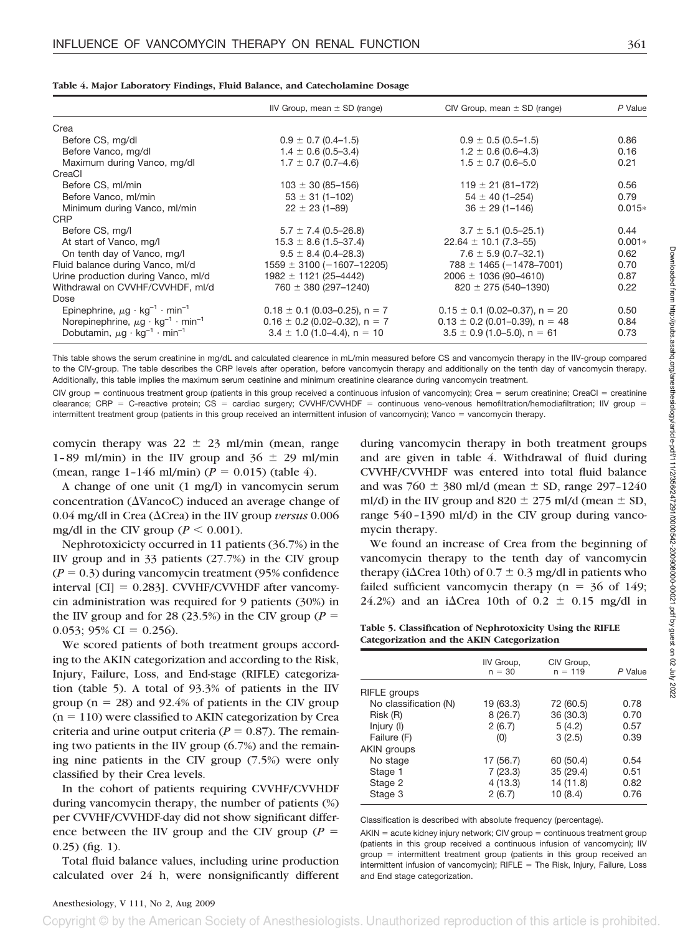|  |  |  | Table 4. Major Laboratory Findings, Fluid Balance, and Catecholamine Dosage |  |
|--|--|--|-----------------------------------------------------------------------------|--|
|  |  |  |                                                                             |  |

|                                                                | IIV Group, mean $\pm$ SD (range)  | CIV Group, mean $\pm$ SD (range)   | P Value  |
|----------------------------------------------------------------|-----------------------------------|------------------------------------|----------|
| Crea                                                           |                                   |                                    |          |
| Before CS, mg/dl                                               | $0.9 \pm 0.7$ (0.4–1.5)           | $0.9 \pm 0.5$ (0.5–1.5)            | 0.86     |
| Before Vanco, mg/dl                                            | $1.4 \pm 0.6$ (0.5–3.4)           | $1.2 \pm 0.6$ (0.6–4.3)            | 0.16     |
| Maximum during Vanco, mg/dl                                    | $1.7 \pm 0.7$ (0.7–4.6)           | $1.5 \pm 0.7$ (0.6-5.0)            | 0.21     |
| CreaCl                                                         |                                   |                                    |          |
| Before CS, ml/min                                              | $103 \pm 30 (85 - 156)$           | $119 \pm 21 (81 - 172)$            | 0.56     |
| Before Vanco, ml/min                                           | $53 \pm 31$ (1-102)               | $54 \pm 40$ (1-254)                | 0.79     |
| Minimum during Vanco, ml/min                                   | $22 \pm 23(1 - 89)$               | $36 \pm 29(1 - 146)$               | $0.015*$ |
| <b>CRP</b>                                                     |                                   |                                    |          |
| Before CS, mg/l                                                | $5.7 \pm 7.4$ (0.5–26.8)          | $3.7 \pm 5.1$ (0.5–25.1)           | 0.44     |
| At start of Vanco, mg/l                                        | $15.3 \pm 8.6$ (1.5-37.4)         | $22.64 \pm 10.1$ (7.3-55)          | $0.001*$ |
| On tenth day of Vanco, mg/l                                    | $9.5 \pm 8.4$ (0.4–28.3)          | $7.6 \pm 5.9$ (0.7-32.1)           | 0.62     |
| Fluid balance during Vanco, ml/d                               | $1559 \pm 3100 (-1607 - 12205)$   | $788 \pm 1465 (-1478 - 7001)$      | 0.70     |
| Urine production during Vanco, ml/d                            | $1982 \pm 1121 (25 - 4442)$       | $2006 \pm 1036(90 - 4610)$         | 0.87     |
| Withdrawal on CVVHF/CVVHDF, ml/d                               | $760 \pm 380$ (297-1240)          | $820 \pm 275 (540 - 1390)$         | 0.22     |
| Dose                                                           |                                   |                                    |          |
| Epinephrine, $\mu$ g · kg <sup>-1</sup> · min <sup>-1</sup>    | $0.18 \pm 0.1$ (0.03–0.25), n = 7 | $0.15 \pm 0.1$ (0.02–0.37), n = 20 | 0.50     |
| Norepinephrine, $\mu$ g · kg <sup>-1</sup> · min <sup>-1</sup> | $0.16 \pm 0.2$ (0.02–0.32), n = 7 | $0.13 \pm 0.2$ (0.01-0.39), n = 48 | 0.84     |
| Dobutamin, $\mu$ g · kg <sup>-1</sup> · min <sup>-1</sup>      | $3.4 \pm 1.0$ (1.0–4.4), n = 10   | $3.5 \pm 0.9$ (1.0–5.0), n = 61    | 0.73     |

This table shows the serum creatinine in mg/dL and calculated clearence in mL/min measured before CS and vancomycin therapy in the IIV-group compared to the CIV-group. The table describes the CRP levels after operation, before vancomycin therapy and additionally on the tenth day of vancomycin therapy. Additionally, this table implies the maximum serum ceatinine and minimum creatinine clearance during vancomycin treatment.

CIV group  $=$  continuous treatment group (patients in this group received a continuous infusion of vancomycin); Crea  $=$  serum creatinine; CreaCl  $=$  creatinine clearance; CRP = C-reactive protein; CS = cardiac surgery; CVVHF/CVVHDF = continuous veno-venous hemofiltration/hemodiafiltration; IIV group = intermittent treatment group (patients in this group received an intermittent infusion of vancomycin); Vanco = vancomycin therapy.

comycin therapy was  $22 \pm 23$  ml/min (mean, range 1–89 ml/min) in the IIV group and  $36 \pm 29$  ml/min (mean, range  $1-146$  ml/min) ( $P = 0.015$ ) (table 4).

A change of one unit (1 mg/l) in vancomycin serum concentration ( $\Delta$ VancoC) induced an average change of  $0.04$  mg/dl in Crea ( $\Delta$ Crea) in the IIV group *versus* 0.006 mg/dl in the CIV group ( $P < 0.001$ ).

Nephrotoxicicty occurred in 11 patients (36.7%) in the IIV group and in 33 patients (27.7%) in the CIV group  $(P = 0.3)$  during vancomycin treatment (95% confidence interval  $\text{[CI]} = 0.283$ ]. CVVHF/CVVHDF after vancomycin administration was required for 9 patients (30%) in the IIV group and for 28 (23.5%) in the CIV group ( $P =$ 0.053; 95% CI = 0.256).

We scored patients of both treatment groups according to the AKIN categorization and according to the Risk, Injury, Failure, Loss, and End-stage (RIFLE) categorization (table 5). A total of 93.3% of patients in the IIV group ( $n = 28$ ) and 92.4% of patients in the CIV group  $(n = 110)$  were classified to AKIN categorization by Crea criteria and urine output criteria ( $P = 0.87$ ). The remaining two patients in the IIV group (6.7%) and the remaining nine patients in the CIV group (7.5%) were only classified by their Crea levels.

In the cohort of patients requiring CVVHF/CVVHDF during vancomycin therapy, the number of patients (%) per CVVHF/CVVHDF-day did not show significant difference between the IIV group and the CIV group ( $P =$ 0.25) (fig. 1).

Total fluid balance values, including urine production calculated over 24 h, were nonsignificantly different during vancomycin therapy in both treatment groups and are given in table 4. Withdrawal of fluid during CVVHF/CVVHDF was entered into total fluid balance and was  $760 \pm 380$  ml/d (mean  $\pm$  SD, range 297–1240) ml/d) in the IIV group and 820  $\pm$  275 ml/d (mean  $\pm$  SD, range 540–1390 ml/d) in the CIV group during vancomycin therapy.

We found an increase of Crea from the beginning of vancomycin therapy to the tenth day of vancomycin therapy (i $\Delta$ Crea 10th) of 0.7  $\pm$  0.3 mg/dl in patients who failed sufficient vancomycin therapy ( $n = 36$  of 149; 24.2%) and an i $\Delta$ Crea 10th of 0.2  $\pm$  0.15 mg/dl in

| Table 5. Classification of Nephrotoxicity Using the RIFLE |
|-----------------------------------------------------------|
| Categorization and the AKIN Categorization                |

|                       | IIV Group,<br>$n = 30$ | CIV Group,<br>$n = 119$ | P Value |
|-----------------------|------------------------|-------------------------|---------|
| <b>RIFLE</b> groups   |                        |                         |         |
| No classification (N) | 19 (63.3)              | 72 (60.5)               | 0.78    |
| Risk (R)              | 8(26.7)                | 36 (30.3)               | 0.70    |
| Injury (I)            | 2(6.7)                 | 5(4.2)                  | 0.57    |
| Failure (F)           | (0)                    | 3(2.5)                  | 0.39    |
| AKIN groups           |                        |                         |         |
| No stage              | 17 (56.7)              | 60 (50.4)               | 0.54    |
| Stage 1               | 7(23.3)                | 35 (29.4)               | 0.51    |
| Stage 2               | 4(13.3)                | 14 (11.8)               | 0.82    |
| Stage 3               | 2(6.7)                 | 10 (8.4)                | 0.76    |
|                       |                        |                         |         |

Classification is described with absolute frequency (percentage).

 $AKIN = acute$  kidney injury network; CIV group  $=$  continuous treatment group (patients in this group received a continuous infusion of vancomycin); IIV  $qroup = internet treatment group (patients in this group received an$ intermittent infusion of vancomycin);  $RIFLE = The Risk$ , Injury, Failure, Loss and End stage categorization.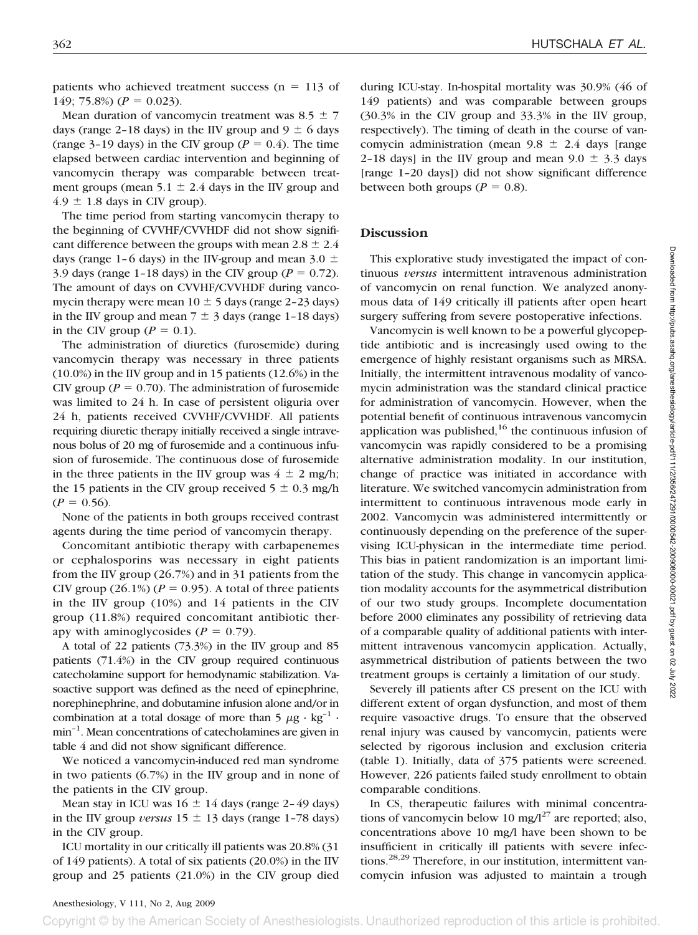patients who achieved treatment success ( $n = 113$  of 149; 75.8%)  $(P = 0.023)$ .

Mean duration of vancomycin treatment was 8.5  $\pm$  7 days (range 2–18 days) in the IIV group and  $9 \pm 6$  days (range 3-19 days) in the CIV group ( $P = 0.4$ ). The time elapsed between cardiac intervention and beginning of vancomycin therapy was comparable between treatment groups (mean  $5.1 \pm 2.4$  days in the IIV group and  $4.9 \pm 1.8$  days in CIV group).

The time period from starting vancomycin therapy to the beginning of CVVHF/CVVHDF did not show significant difference between the groups with mean  $2.8 \pm 2.4$ days (range 1–6 days) in the IIV-group and mean 3.0  $\pm$ 3.9 days (range 1-18 days) in the CIV group ( $P = 0.72$ ). The amount of days on CVVHF/CVVHDF during vancomycin therapy were mean  $10 \pm 5$  days (range 2–23 days) in the IIV group and mean  $7 \pm 3$  days (range 1-18 days) in the CIV group ( $P = 0.1$ ).

The administration of diuretics (furosemide) during vancomycin therapy was necessary in three patients (10.0%) in the IIV group and in 15 patients (12.6%) in the CIV group ( $P = 0.70$ ). The administration of furosemide was limited to 24 h. In case of persistent oliguria over 24 h, patients received CVVHF/CVVHDF. All patients requiring diuretic therapy initially received a single intravenous bolus of 20 mg of furosemide and a continuous infusion of furosemide. The continuous dose of furosemide in the three patients in the IIV group was  $4 \pm 2$  mg/h; the 15 patients in the CIV group received  $5 \pm 0.3$  mg/h  $(P = 0.56)$ .

None of the patients in both groups received contrast agents during the time period of vancomycin therapy.

Concomitant antibiotic therapy with carbapenemes or cephalosporins was necessary in eight patients from the IIV group (26.7%) and in 31 patients from the CIV group  $(26.1\%) (P = 0.95)$ . A total of three patients in the IIV group (10%) and 14 patients in the CIV group (11.8%) required concomitant antibiotic therapy with aminoglycosides  $(P = 0.79)$ .

A total of 22 patients (73.3%) in the IIV group and 85 patients (71.4%) in the CIV group required continuous catecholamine support for hemodynamic stabilization. Vasoactive support was defined as the need of epinephrine, norephinephrine, and dobutamine infusion alone and/or in combination at a total dosage of more than  $5 \mu g \cdot kg^{-1}$ . min<sup>-1</sup>. Mean concentrations of catecholamines are given in table 4 and did not show significant difference.

We noticed a vancomycin-induced red man syndrome in two patients (6.7%) in the IIV group and in none of the patients in the CIV group.

Mean stay in ICU was  $16 \pm 14$  days (range 2-49 days) in the IIV group *versus*  $15 \pm 13$  days (range 1-78 days) in the CIV group.

ICU mortality in our critically ill patients was 20.8% (31 of 149 patients). A total of six patients (20.0%) in the IIV group and 25 patients (21.0%) in the CIV group died during ICU-stay. In-hospital mortality was 30.9% (46 of 149 patients) and was comparable between groups (30.3% in the CIV group and 33.3% in the IIV group, respectively). The timing of death in the course of vancomycin administration (mean  $9.8 \pm 2.4$  days [range] 2–18 days) in the IIV group and mean  $9.0 \pm 3.3$  days [range 1–20 days]) did not show significant difference between both groups  $(P = 0.8)$ .

## **Discussion**

This explorative study investigated the impact of continuous *versus* intermittent intravenous administration of vancomycin on renal function. We analyzed anonymous data of 149 critically ill patients after open heart surgery suffering from severe postoperative infections.

Vancomycin is well known to be a powerful glycopeptide antibiotic and is increasingly used owing to the emergence of highly resistant organisms such as MRSA. Initially, the intermittent intravenous modality of vancomycin administration was the standard clinical practice for administration of vancomycin. However, when the potential benefit of continuous intravenous vancomycin application was published, $16$  the continuous infusion of vancomycin was rapidly considered to be a promising alternative administration modality. In our institution, change of practice was initiated in accordance with literature. We switched vancomycin administration from intermittent to continuous intravenous mode early in 2002. Vancomycin was administered intermittently or continuously depending on the preference of the supervising ICU-physican in the intermediate time period. This bias in patient randomization is an important limitation of the study. This change in vancomycin application modality accounts for the asymmetrical distribution of our two study groups. Incomplete documentation before 2000 eliminates any possibility of retrieving data of a comparable quality of additional patients with intermittent intravenous vancomycin application. Actually, asymmetrical distribution of patients between the two treatment groups is certainly a limitation of our study.

Severely ill patients after CS present on the ICU with different extent of organ dysfunction, and most of them require vasoactive drugs. To ensure that the observed renal injury was caused by vancomycin, patients were selected by rigorous inclusion and exclusion criteria (table 1). Initially, data of 375 patients were screened. However, 226 patients failed study enrollment to obtain comparable conditions.

In CS, therapeutic failures with minimal concentrations of vancomycin below 10 mg/l<sup>27</sup> are reported; also, concentrations above 10 mg/l have been shown to be insufficient in critically ill patients with severe infections.<sup>28,29</sup> Therefore, in our institution, intermittent vancomycin infusion was adjusted to maintain a trough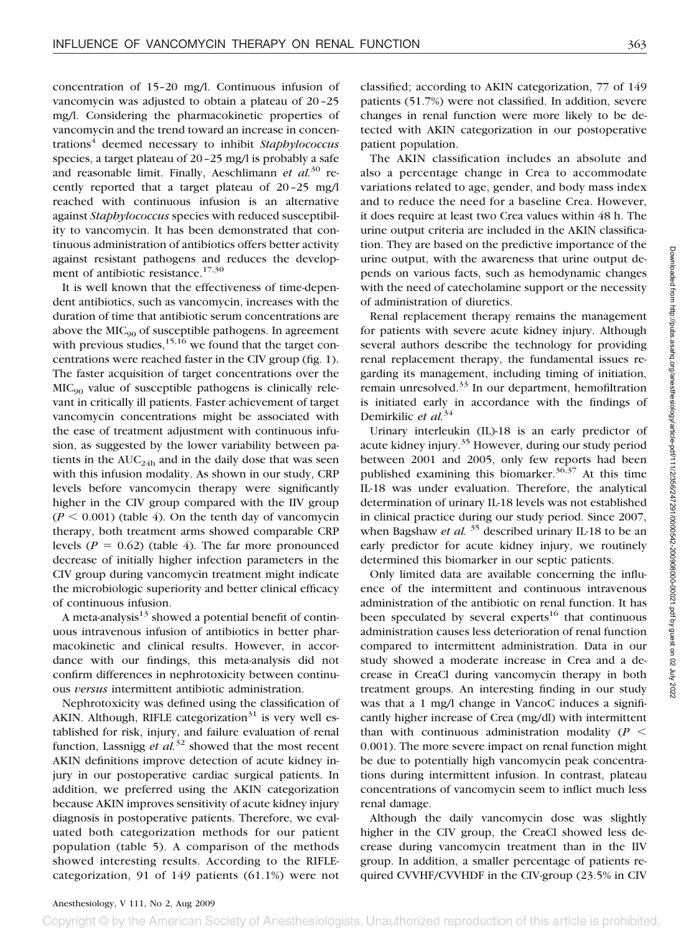concentration of 15–20 mg/l. Continuous infusion of vancomycin was adjusted to obtain a plateau of 20–25 mg/l. Considering the pharmacokinetic properties of vancomycin and the trend toward an increase in concentrations4 deemed necessary to inhibit *Staphylococcus* species, a target plateau of 20–25 mg/l is probably a safe and reasonable limit. Finally, Aeschlimann *et al.*<sup>30</sup> recently reported that a target plateau of 20–25 mg/l reached with continuous infusion is an alternative against *Staphylococcus* species with reduced susceptibility to vancomycin. It has been demonstrated that continuous administration of antibiotics offers better activity against resistant pathogens and reduces the development of antibiotic resistance.<sup>17,30</sup>

It is well known that the effectiveness of time-dependent antibiotics, such as vancomycin, increases with the duration of time that antibiotic serum concentrations are above the  $MIC<sub>90</sub>$  of susceptible pathogens. In agreement with previous studies,  $15,16$  we found that the target concentrations were reached faster in the CIV group (fig. 1). The faster acquisition of target concentrations over the  $MIC<sub>90</sub>$  value of susceptible pathogens is clinically relevant in critically ill patients. Faster achievement of target vancomycin concentrations might be associated with the ease of treatment adjustment with continuous infusion, as suggested by the lower variability between patients in the  $AUC_{24h}$  and in the daily dose that was seen with this infusion modality. As shown in our study, CRP levels before vancomycin therapy were significantly higher in the CIV group compared with the IIV group  $(P \leq 0.001)$  (table 4). On the tenth day of vancomycin therapy, both treatment arms showed comparable CRP levels  $(P = 0.62)$  (table 4). The far more pronounced decrease of initially higher infection parameters in the CIV group during vancomycin treatment might indicate the microbiologic superiority and better clinical efficacy of continuous infusion.

A meta-analysis $13$  showed a potential benefit of continuous intravenous infusion of antibiotics in better pharmacokinetic and clinical results. However, in accordance with our findings, this meta-analysis did not confirm differences in nephrotoxicity between continuous *versus* intermittent antibiotic administration.

Nephrotoxicity was defined using the classification of AKIN. Although, RIFLE categorization<sup>31</sup> is very well established for risk, injury, and failure evaluation of renal function, Lassnigg *et al.*<sup>32</sup> showed that the most recent AKIN definitions improve detection of acute kidney injury in our postoperative cardiac surgical patients. In addition, we preferred using the AKIN categorization because AKIN improves sensitivity of acute kidney injury diagnosis in postoperative patients. Therefore, we evaluated both categorization methods for our patient population (table 5). A comparison of the methods showed interesting results. According to the RIFLEcategorization, 91 of 149 patients (61.1%) were not

classified; according to AKIN categorization, 77 of 149 patients (51.7%) were not classified. In addition, severe changes in renal function were more likely to be detected with AKIN categorization in our postoperative patient population.

The AKIN classification includes an absolute and also a percentage change in Crea to accommodate variations related to age, gender, and body mass index and to reduce the need for a baseline Crea. However, it does require at least two Crea values within 48 h. The urine output criteria are included in the AKIN classification. They are based on the predictive importance of the urine output, with the awareness that urine output depends on various facts, such as hemodynamic changes with the need of catecholamine support or the necessity of administration of diuretics.

Renal replacement therapy remains the management for patients with severe acute kidney injury. Although several authors describe the technology for providing renal replacement therapy, the fundamental issues regarding its management, including timing of initiation, remain unresolved. $33$  In our department, hemofiltration is initiated early in accordance with the findings of Demirkilic *et al.*<sup>34</sup>

Urinary interleukin (IL)-18 is an early predictor of acute kidney injury.<sup>35</sup> However, during our study period between 2001 and 2005, only few reports had been published examining this biomarker.<sup>36,37</sup> At this time IL-18 was under evaluation. Therefore, the analytical determination of urinary IL-18 levels was not established in clinical practice during our study period. Since 2007, when Bagshaw *et al.* <sup>35</sup> described urinary IL-18 to be an early predictor for acute kidney injury, we routinely determined this biomarker in our septic patients.

Only limited data are available concerning the influence of the intermittent and continuous intravenous administration of the antibiotic on renal function. It has been speculated by several experts<sup>16</sup> that continuous administration causes less deterioration of renal function compared to intermittent administration. Data in our study showed a moderate increase in Crea and a decrease in CreaCl during vancomycin therapy in both treatment groups. An interesting finding in our study was that a 1 mg/l change in VancoC induces a significantly higher increase of Crea (mg/dl) with intermittent than with continuous administration modality  $(P \leq$ 0.001). The more severe impact on renal function might be due to potentially high vancomycin peak concentrations during intermittent infusion. In contrast, plateau concentrations of vancomycin seem to inflict much less renal damage.

Although the daily vancomycin dose was slightly higher in the CIV group, the CreaCl showed less decrease during vancomycin treatment than in the IIV group. In addition, a smaller percentage of patients required CVVHF/CVVHDF in the CIV-group (23.5% in CIV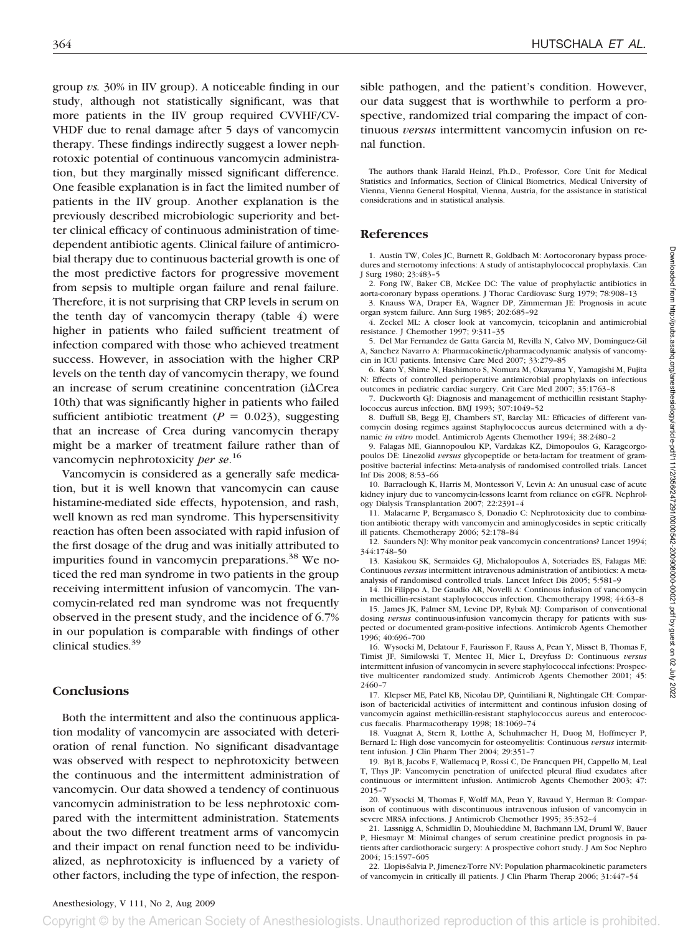group *vs.* 30% in IIV group). A noticeable finding in our study, although not statistically significant, was that more patients in the IIV group required CVVHF/CV-VHDF due to renal damage after 5 days of vancomycin therapy. These findings indirectly suggest a lower nephrotoxic potential of continuous vancomycin administration, but they marginally missed significant difference. One feasible explanation is in fact the limited number of patients in the IIV group. Another explanation is the previously described microbiologic superiority and better clinical efficacy of continuous administration of timedependent antibiotic agents. Clinical failure of antimicrobial therapy due to continuous bacterial growth is one of the most predictive factors for progressive movement from sepsis to multiple organ failure and renal failure. Therefore, it is not surprising that CRP levels in serum on the tenth day of vancomycin therapy (table 4) were higher in patients who failed sufficient treatment of infection compared with those who achieved treatment success. However, in association with the higher CRP levels on the tenth day of vancomycin therapy, we found an increase of serum creatinine concentration ( $i\Delta C$ rea 10th) that was significantly higher in patients who failed sufficient antibiotic treatment ( $P = 0.023$ ), suggesting that an increase of Crea during vancomycin therapy might be a marker of treatment failure rather than of vancomycin nephrotoxicity *per se*. 16

Vancomycin is considered as a generally safe medication, but it is well known that vancomycin can cause histamine-mediated side effects, hypotension, and rash, well known as red man syndrome. This hypersensitivity reaction has often been associated with rapid infusion of the first dosage of the drug and was initially attributed to impurities found in vancomycin preparations.<sup>38</sup> We noticed the red man syndrome in two patients in the group receiving intermittent infusion of vancomycin. The vancomycin-related red man syndrome was not frequently observed in the present study, and the incidence of 6.7% in our population is comparable with findings of other clinical studies.39

## **Conclusions**

Both the intermittent and also the continuous application modality of vancomycin are associated with deterioration of renal function. No significant disadvantage was observed with respect to nephrotoxicity between the continuous and the intermittent administration of vancomycin. Our data showed a tendency of continuous vancomycin administration to be less nephrotoxic compared with the intermittent administration. Statements about the two different treatment arms of vancomycin and their impact on renal function need to be individualized, as nephrotoxicity is influenced by a variety of other factors, including the type of infection, the responsible pathogen, and the patient's condition. However, our data suggest that is worthwhile to perform a prospective, randomized trial comparing the impact of continuous *versus* intermittent vancomycin infusion on renal function.

The authors thank Harald Heinzl, Ph.D., Professor, Core Unit for Medical Statistics and Informatics, Section of Clinical Biometrics, Medical University of Vienna, Vienna General Hospital, Vienna, Austria, for the assistance in statistical considerations and in statistical analysis.

## **References**

1. Austin TW, Coles JC, Burnett R, Goldbach M: Aortocoronary bypass procedures and sternotomy infections: A study of antistaphylococcal prophylaxis. Can J Surg 1980; 23:483–5

2. Fong IW, Baker CB, McKee DC: The value of prophylactic antibiotics in aorta-coronary bypass operations. J Thorac Cardiovasc Surg 1979; 78:908–13

3. Knauss WA, Draper EA, Wagner DP, Zimmerman JE: Prognosis in acute organ system failure. Ann Surg 1985; 202:685–92

4. Zeckel ML: A closer look at vancomycin, teicoplanin and antimicrobial resistance. J Chemother 1997; 9:311–35

5. Del Mar Fernandez de Gatta Garcia M, Revilla N, Calvo MV, Dominguez-Gil A, Sanchez Navarro A: Pharmacokinetic/pharmacodynamic analysis of vancomycin in ICU patients. Intensive Care Med 2007; 33:279–85

6. Kato Y, Shime N, Hashimoto S, Nomura M, Okayama Y, Yamagishi M, Fujita N: Effects of controlled perioperative antimicrobial prophylaxis on infectious outcomes in pediatric cardiac surgery. Crit Care Med 2007; 35:1763–8

7. Duckworth GJ: Diagnosis and management of methicillin resistant Staphylococcus aureus infection. BMJ 1993; 307:1049–52

8. Duffull SB, Begg EJ, Chambers ST, Barclay ML: Efficacies of different vancomycin dosing regimes against Staphylococcus aureus determined with a dynamic *in vitro* model. Antimicrob Agents Chemother 1994; 38:2480–2

9. Falagas ME, Giannopoulou KP, Vardakas KZ, Dimopoulos G, Karageorgopoulos DE: Linezolid *versus* glycopeptide or beta-lactam for treatment of grampositive bacterial infectins: Meta-analysis of randomised controlled trials. Lancet Inf Dis 2008; 8:53–66

10. Barraclough K, Harris M, Montessori V, Levin A: An unusual case of acute kidney injury due to vancomycin-lessons learnt from reliance on eGFR. Nephrology Dialysis Transplantation 2007; 22:2391–4

11. Malacarne P, Bergamasco S, Donadio C: Nephrotoxicity due to combination antibiotic therapy with vancomycin and aminoglycosides in septic critically ill patients. Chemotherapy 2006; 52:178–84

12. Saunders NJ: Why monitor peak vancomycin concentrations? Lancet 1994; 344:1748–50

13. Kasiakou SK, Sermaides GJ, Michalopoulos A, Soteriades ES, Falagas ME: Continuous *versus* intermittent intravenous administration of antibiotics: A metaanalysis of randomised controlled trials. Lancet Infect Dis 2005; 5:581–9

14. Di Filippo A, De Gaudio AR, Novelli A: Continous infusion of vancomycin in methicillin-resistant staphylococcus infection. Chemotherapy 1998; 44:63–8

15. James JK, Palmer SM, Levine DP, Rybak MJ: Comparison of conventional dosing *versus* continuous-infusion vancomycin therapy for patients with suspected or documented gram-positive infections. Antimicrob Agents Chemother 1996; 40:696–700

16. Wysocki M, Delatour F, Faurisson F, Rauss A, Pean Y, Misset B, Thomas F, Timist JF, Similowski T, Mentec H, Mier L, Dreyfuss D: Continuous *versus* intermittent infusion of vancomycin in severe staphylococcal infections: Prospective multicenter randomized study. Antimicrob Agents Chemother 2001; 45: 2460–7

17. Klepser ME, Patel KB, Nicolau DP, Quintiliani R, Nightingale CH: Comparison of bactericidal activities of intermittent and continous infusion dosing of vancomycin against methicillin-resistant staphylococcus aureus and enterococcus faecalis. Pharmacotherapy 1998; 18:1069–74

18. Vuagnat A, Stern R, Lotthe A, Schuhmacher H, Duog M, Hoffmeyer P, Bernard L: High dose vancomycin for osteomyelitis: Continuous *versus* intermittent infusion. J Clin Pharm Ther 2004; 29:351–7

19. Byl B, Jacobs F, Wallemacq P, Rossi C, De Francquen PH, Cappello M, Leal T, Thys JP: Vancomycin penetration of unifected pleural fliud exudates after continuous or intermittent infusion. Antimicrob Agents Chemother 2003; 47:  $2015 -$ 

20. Wysocki M, Thomas F, Wolff MA, Pean Y, Ravaud Y, Herman B: Comparison of continuous with discontinuous intravenous infusion of vancomycin in severe MRSA infections. J Antimicrob Chemother 1995; 35:352–4

21. Lassnigg A, Schmidlin D, Mouhieddine M, Bachmann LM, Druml W, Bauer P, Hiesmayr M: Minimal changes of serum creatinine predict prognosis in patients after cardiothoracic surgery: A prospective cohort study. J Am Soc Nephro 2004; 15:1597–605

22. Llopis-Salvia P, Jimenez-Torre NV: Population pharmacokinetic parameters of vancomycin in critically ill patients. J Clin Pharm Therap 2006; 31:447–54